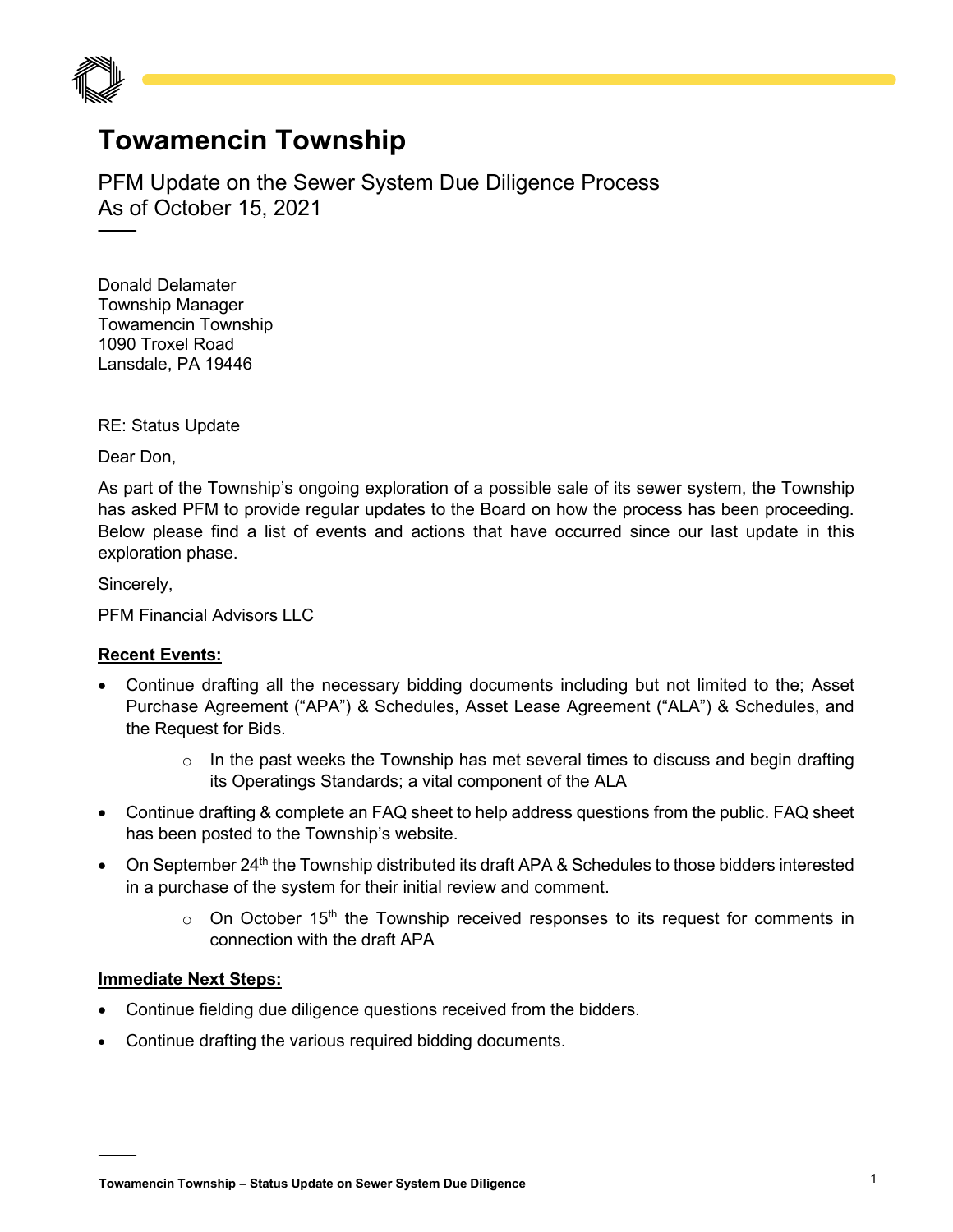

## **Towamencin Township**

PFM Update on the Sewer System Due Diligence Process As of October 15, 2021

Donald Delamater Township Manager Towamencin Township 1090 Troxel Road Lansdale, PA 19446

RE: Status Update

Dear Don,

As part of the Township's ongoing exploration of a possible sale of its sewer system, the Township has asked PFM to provide regular updates to the Board on how the process has been proceeding. Below please find a list of events and actions that have occurred since our last update in this exploration phase.

Sincerely,

PFM Financial Advisors LLC

## **Recent Events:**

- Continue drafting all the necessary bidding documents including but not limited to the; Asset Purchase Agreement ("APA") & Schedules, Asset Lease Agreement ("ALA") & Schedules, and the Request for Bids.
	- $\circ$  In the past weeks the Township has met several times to discuss and begin drafting its Operatings Standards; a vital component of the ALA
- Continue drafting & complete an FAQ sheet to help address questions from the public. FAQ sheet has been posted to the Township's website.
- On September 24<sup>th</sup> the Township distributed its draft APA & Schedules to those bidders interested in a purchase of the system for their initial review and comment.
	- $\circ$  On October 15<sup>th</sup> the Township received responses to its request for comments in connection with the draft APA

## **Immediate Next Steps:**

- Continue fielding due diligence questions received from the bidders.
- Continue drafting the various required bidding documents.